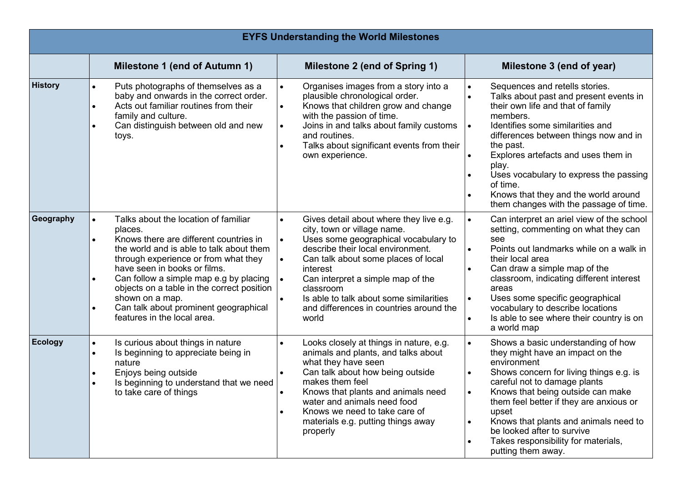| <b>EYFS Understanding the World Milestones</b> |                                                                                                                                                                                                                                                                                                                                                                                                  |                                                  |                                                                                                                                                                                                                                                                                                                                    |  |                                                                                                                                                                                                                                                                                                                                                                                                             |  |  |
|------------------------------------------------|--------------------------------------------------------------------------------------------------------------------------------------------------------------------------------------------------------------------------------------------------------------------------------------------------------------------------------------------------------------------------------------------------|--------------------------------------------------|------------------------------------------------------------------------------------------------------------------------------------------------------------------------------------------------------------------------------------------------------------------------------------------------------------------------------------|--|-------------------------------------------------------------------------------------------------------------------------------------------------------------------------------------------------------------------------------------------------------------------------------------------------------------------------------------------------------------------------------------------------------------|--|--|
|                                                | Milestone 1 (end of Autumn 1)                                                                                                                                                                                                                                                                                                                                                                    |                                                  | Milestone 2 (end of Spring 1)                                                                                                                                                                                                                                                                                                      |  | Milestone 3 (end of year)                                                                                                                                                                                                                                                                                                                                                                                   |  |  |
| <b>History</b>                                 | Puts photographs of themselves as a<br>$\bullet$<br>baby and onwards in the correct order.<br>Acts out familiar routines from their<br>family and culture.<br>Can distinguish between old and new<br>toys.                                                                                                                                                                                       | $\bullet$<br>$\bullet$<br>$\bullet$<br>$\bullet$ | Organises images from a story into a<br>plausible chronological order.<br>Knows that children grow and change<br>with the passion of time.<br>Joins in and talks about family customs<br>and routines.<br>Talks about significant events from their<br>own experience.                                                             |  | Sequences and retells stories.<br>Talks about past and present events in<br>their own life and that of family<br>members.<br>Identifies some similarities and<br>differences between things now and in<br>the past.<br>Explores artefacts and uses them in<br>play.<br>Uses vocabulary to express the passing<br>of time.<br>Knows that they and the world around<br>them changes with the passage of time. |  |  |
| Geography                                      | Talks about the location of familiar<br>places.<br>Knows there are different countries in<br>the world and is able to talk about them<br>through experience or from what they<br>have seen in books or films.<br>Can follow a simple map e.g by placing<br>objects on a table in the correct position<br>shown on a map.<br>Can talk about prominent geographical<br>features in the local area. | $\bullet$<br>$\bullet$<br>interest<br>world      | Gives detail about where they live e.g.<br>city, town or village name.<br>Uses some geographical vocabulary to<br>describe their local environment.<br>Can talk about some places of local<br>Can interpret a simple map of the<br>classroom<br>Is able to talk about some similarities<br>and differences in countries around the |  | Can interpret an ariel view of the school<br>setting, commenting on what they can<br>see<br>Points out landmarks while on a walk in<br>their local area<br>Can draw a simple map of the<br>classroom, indicating different interest<br>areas<br>Uses some specific geographical<br>vocabulary to describe locations<br>Is able to see where their country is on<br>a world map                              |  |  |
| <b>Ecology</b>                                 | Is curious about things in nature<br>$\bullet$<br>Is beginning to appreciate being in<br>$\bullet$<br>nature<br>Enjoys being outside<br>Is beginning to understand that we need<br>to take care of things                                                                                                                                                                                        | properly                                         | Looks closely at things in nature, e.g.<br>animals and plants, and talks about<br>what they have seen<br>Can talk about how being outside<br>makes them feel<br>Knows that plants and animals need<br>water and animals need food<br>Knows we need to take care of<br>materials e.g. putting things away                           |  | Shows a basic understanding of how<br>they might have an impact on the<br>environment<br>Shows concern for living things e.g. is<br>careful not to damage plants<br>Knows that being outside can make<br>them feel better if they are anxious or<br>upset<br>Knows that plants and animals need to<br>be looked after to survive<br>Takes responsibility for materials,<br>putting them away.               |  |  |